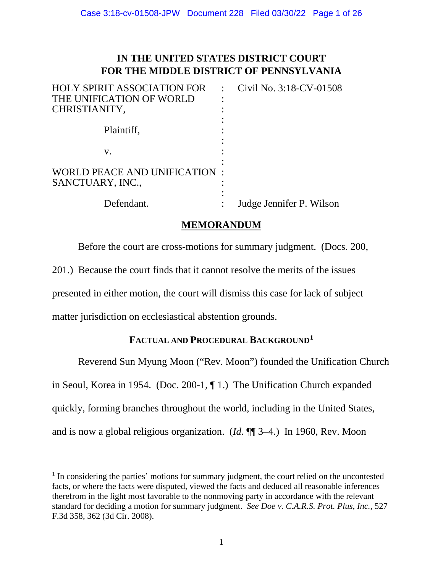# **IN THE UNITED STATES DISTRICT COURT FOR THE MIDDLE DISTRICT OF PENNSYLVANIA**

| <b>HOLY SPIRIT ASSOCIATION FOR</b> | Civil No. 3:18-CV-01508  |
|------------------------------------|--------------------------|
| THE UNIFICATION OF WORLD           |                          |
| CHRISTIANITY,                      |                          |
|                                    |                          |
| Plaintiff,                         |                          |
|                                    |                          |
| V.                                 |                          |
|                                    |                          |
| WORLD PEACE AND UNIFICATION        |                          |
| SANCTUARY, INC.,                   |                          |
|                                    |                          |
| Defendant.                         | Judge Jennifer P. Wilson |

### **MEMORANDUM**

Before the court are cross-motions for summary judgment. (Docs. 200,

201.) Because the court finds that it cannot resolve the merits of the issues

presented in either motion, the court will dismiss this case for lack of subject

matter jurisdiction on ecclesiastical abstention grounds.

# **FACTUAL AND PROCEDURAL BACKGROUND[1](#page-0-0)**

Reverend Sun Myung Moon ("Rev. Moon") founded the Unification Church in Seoul, Korea in 1954. (Doc. 200-1, ¶ 1.) The Unification Church expanded quickly, forming branches throughout the world, including in the United States, and is now a global religious organization. (*Id.* ¶¶ 3–4.) In 1960, Rev. Moon

<span id="page-0-0"></span><sup>&</sup>lt;sup>1</sup> In considering the parties' motions for summary judgment, the court relied on the uncontested facts, or where the facts were disputed, viewed the facts and deduced all reasonable inferences therefrom in the light most favorable to the nonmoving party in accordance with the relevant standard for deciding a motion for summary judgment. *See Doe v. C.A.R.S. Prot. Plus, Inc.*, 527 F.3d 358, 362 (3d Cir. 2008).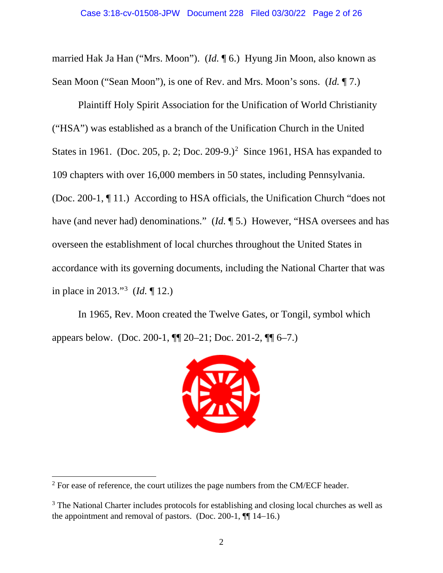married Hak Ja Han ("Mrs. Moon"). (*Id.* ¶ 6.) Hyung Jin Moon, also known as Sean Moon ("Sean Moon"), is one of Rev. and Mrs. Moon's sons. (*Id.* ¶ 7.)

Plaintiff Holy Spirit Association for the Unification of World Christianity ("HSA") was established as a branch of the Unification Church in the United States in 1961. (Doc. [2](#page-1-0)05, p. 2; Doc. 209-9.)<sup>2</sup> Since 1961, HSA has expanded to 109 chapters with over 16,000 members in 50 states, including Pennsylvania. (Doc. 200-1, ¶ 11.) According to HSA officials, the Unification Church "does not have (and never had) denominations." (*Id.* ¶ 5.) However, "HSA oversees and has overseen the establishment of local churches throughout the United States in accordance with its governing documents, including the National Charter that was in place in 2013."[3](#page-1-1) (*Id.* ¶ 12.)

In 1965, Rev. Moon created the Twelve Gates, or Tongil, symbol which appears below. (Doc. 200-1, ¶¶ 20–21; Doc. 201-2, ¶¶ 6–7.)



<span id="page-1-0"></span><sup>&</sup>lt;sup>2</sup> For ease of reference, the court utilizes the page numbers from the CM/ECF header.

<span id="page-1-1"></span><sup>&</sup>lt;sup>3</sup> The National Charter includes protocols for establishing and closing local churches as well as the appointment and removal of pastors. (Doc. 200-1,  $\P$ [ 14–16.)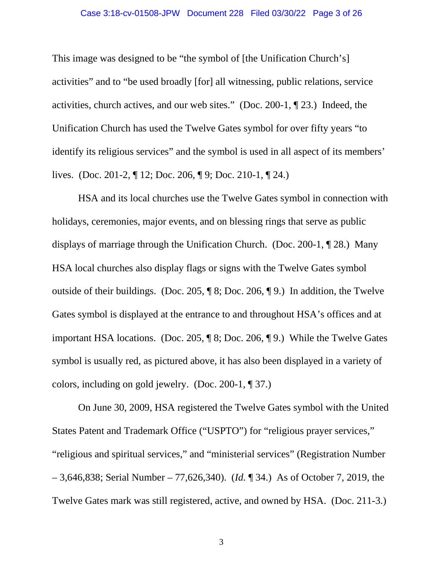### Case 3:18-cv-01508-JPW Document 228 Filed 03/30/22 Page 3 of 26

This image was designed to be "the symbol of [the Unification Church's] activities" and to "be used broadly [for] all witnessing, public relations, service activities, church actives, and our web sites." (Doc. 200-1, ¶ 23.) Indeed, the Unification Church has used the Twelve Gates symbol for over fifty years "to identify its religious services" and the symbol is used in all aspect of its members' lives. (Doc. 201-2, ¶ 12; Doc. 206, ¶ 9; Doc. 210-1, ¶ 24.)

HSA and its local churches use the Twelve Gates symbol in connection with holidays, ceremonies, major events, and on blessing rings that serve as public displays of marriage through the Unification Church. (Doc. 200-1, ¶ 28.) Many HSA local churches also display flags or signs with the Twelve Gates symbol outside of their buildings. (Doc. 205, ¶ 8; Doc. 206, ¶ 9.) In addition, the Twelve Gates symbol is displayed at the entrance to and throughout HSA's offices and at important HSA locations. (Doc. 205, ¶ 8; Doc. 206, ¶ 9.) While the Twelve Gates symbol is usually red, as pictured above, it has also been displayed in a variety of colors, including on gold jewelry. (Doc. 200-1, ¶ 37.)

On June 30, 2009, HSA registered the Twelve Gates symbol with the United States Patent and Trademark Office ("USPTO") for "religious prayer services," "religious and spiritual services," and "ministerial services" (Registration Number – 3,646,838; Serial Number – 77,626,340). (*Id.* ¶ 34.) As of October 7, 2019, the Twelve Gates mark was still registered, active, and owned by HSA. (Doc. 211-3.)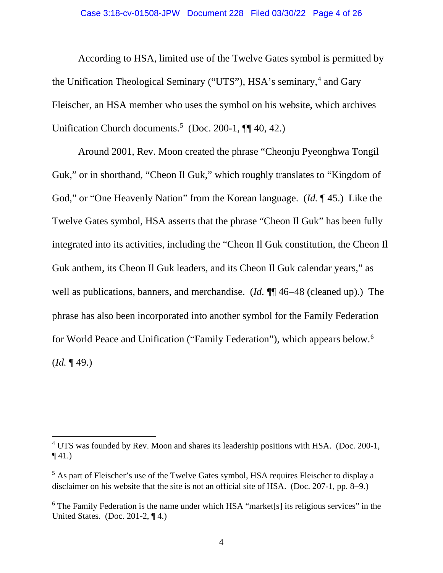#### Case 3:18-cv-01508-JPW Document 228 Filed 03/30/22 Page 4 of 26

According to HSA, limited use of the Twelve Gates symbol is permitted by the Unification Theological Seminary ("UTS"), HSA's seminary,<sup>[4](#page-3-0)</sup> and Gary Fleischer, an HSA member who uses the symbol on his website, which archives Unification Church documents.<sup>[5](#page-3-1)</sup> (Doc. 200-1,  $\P\P$  40, 42.)

Around 2001, Rev. Moon created the phrase "Cheonju Pyeonghwa Tongil Guk," or in shorthand, "Cheon Il Guk," which roughly translates to "Kingdom of God," or "One Heavenly Nation" from the Korean language. (*Id.* ¶ 45.) Like the Twelve Gates symbol, HSA asserts that the phrase "Cheon Il Guk" has been fully integrated into its activities, including the "Cheon Il Guk constitution, the Cheon Il Guk anthem, its Cheon Il Guk leaders, and its Cheon Il Guk calendar years," as well as publications, banners, and merchandise. (*Id.* ¶¶ 46−48 (cleaned up).) The phrase has also been incorporated into another symbol for the Family Federation for World Peace and Unification ("Family Federation"), which appears below.<sup>[6](#page-3-2)</sup> (*Id.* ¶ 49.)

<span id="page-3-0"></span><sup>&</sup>lt;sup>4</sup> UTS was founded by Rev. Moon and shares its leadership positions with HSA. (Doc. 200-1,  $\P(41.)$ 

<span id="page-3-1"></span><sup>&</sup>lt;sup>5</sup> As part of Fleischer's use of the Twelve Gates symbol, HSA requires Fleischer to display a disclaimer on his website that the site is not an official site of HSA. (Doc. 207-1, pp. 8−9.)

<span id="page-3-2"></span> $6$  The Family Federation is the name under which HSA "market[s] its religious services" in the United States. (Doc. 201-2,  $\P$ 4.)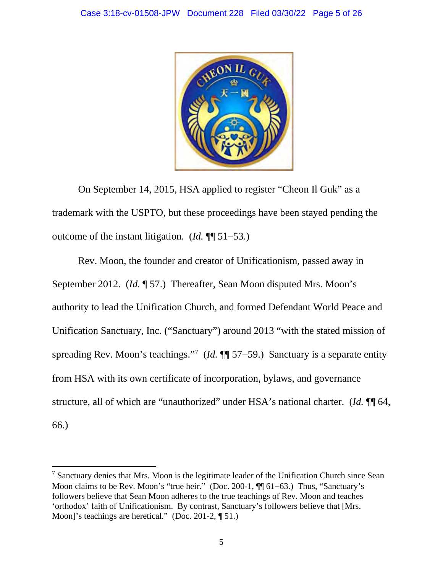

On September 14, 2015, HSA applied to register "Cheon Il Guk" as a trademark with the USPTO, but these proceedings have been stayed pending the outcome of the instant litigation. (*Id.* ¶¶ 51−53.)

Rev. Moon, the founder and creator of Unificationism, passed away in September 2012. (*Id.* ¶ 57.) Thereafter, Sean Moon disputed Mrs. Moon's authority to lead the Unification Church, and formed Defendant World Peace and Unification Sanctuary, Inc. ("Sanctuary") around 2013 "with the stated mission of spreading Rev. Moon's teachings.<sup>"[7](#page-4-0)</sup> (*Id.* ¶ 57–59.) Sanctuary is a separate entity from HSA with its own certificate of incorporation, bylaws, and governance structure, all of which are "unauthorized" under HSA's national charter. (*Id.* ¶¶ 64, 66.)

<span id="page-4-0"></span> $<sup>7</sup>$  Sanctuary denies that Mrs. Moon is the legitimate leader of the Unification Church since Sean</sup> Moon claims to be Rev. Moon's "true heir." (Doc. 200-1, ¶¶ 61–63.) Thus, "Sanctuary's followers believe that Sean Moon adheres to the true teachings of Rev. Moon and teaches 'orthodox' faith of Unificationism. By contrast, Sanctuary's followers believe that [Mrs. Moon]'s teachings are heretical." (Doc. 201-2, ¶ 51.)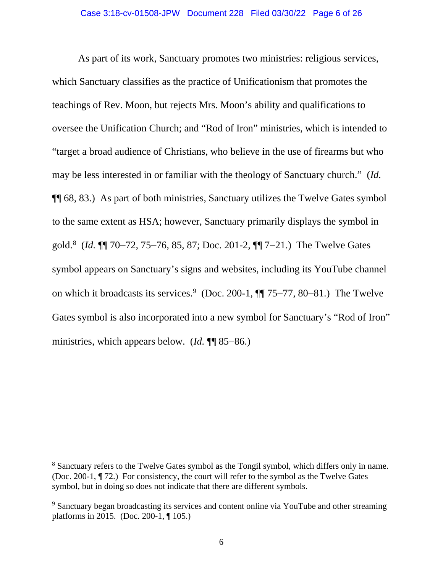As part of its work, Sanctuary promotes two ministries: religious services, which Sanctuary classifies as the practice of Unificationism that promotes the teachings of Rev. Moon, but rejects Mrs. Moon's ability and qualifications to oversee the Unification Church; and "Rod of Iron" ministries, which is intended to "target a broad audience of Christians, who believe in the use of firearms but who may be less interested in or familiar with the theology of Sanctuary church." (*Id.* ¶¶ 68, 83.) As part of both ministries, Sanctuary utilizes the Twelve Gates symbol to the same extent as HSA; however, Sanctuary primarily displays the symbol in gold. [8](#page-5-0) (*Id.* ¶¶ 70−72, 75−76, 85, 87; Doc. 201-2, ¶¶ 7−21.) The Twelve Gates symbol appears on Sanctuary's signs and websites, including its YouTube channel on which it broadcasts its services. [9](#page-5-1) (Doc. 200-1, ¶¶ 75−77, 80−81.) The Twelve Gates symbol is also incorporated into a new symbol for Sanctuary's "Rod of Iron" ministries, which appears below. (*Id.* ¶¶ 85−86.)

<span id="page-5-0"></span><sup>&</sup>lt;sup>8</sup> Sanctuary refers to the Twelve Gates symbol as the Tongil symbol, which differs only in name. (Doc. 200-1, ¶ 72.) For consistency, the court will refer to the symbol as the Twelve Gates symbol, but in doing so does not indicate that there are different symbols.

<span id="page-5-1"></span><sup>&</sup>lt;sup>9</sup> Sanctuary began broadcasting its services and content online via YouTube and other streaming platforms in 2015. (Doc. 200-1, ¶ 105.)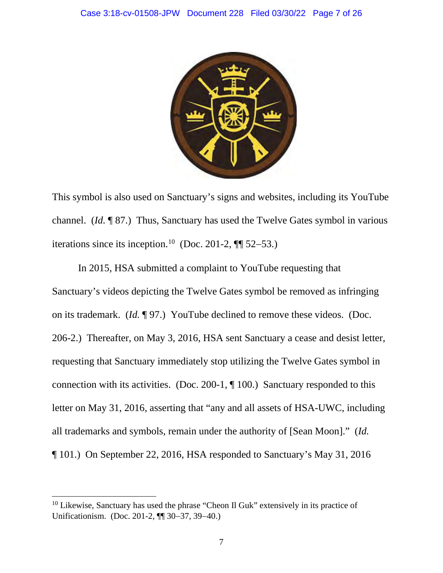

This symbol is also used on Sanctuary's signs and websites, including its YouTube channel. (*Id.* ¶ 87.) Thus, Sanctuary has used the Twelve Gates symbol in various iterations since its inception.<sup>10</sup> (Doc. 201-2, ¶¶ 52–53.)

In 2015, HSA submitted a complaint to YouTube requesting that Sanctuary's videos depicting the Twelve Gates symbol be removed as infringing on its trademark. (*Id.* ¶ 97.) YouTube declined to remove these videos. (Doc. 206-2.) Thereafter, on May 3, 2016, HSA sent Sanctuary a cease and desist letter, requesting that Sanctuary immediately stop utilizing the Twelve Gates symbol in connection with its activities. (Doc. 200-1, ¶ 100.) Sanctuary responded to this letter on May 31, 2016, asserting that "any and all assets of HSA-UWC, including all trademarks and symbols, remain under the authority of [Sean Moon]." (*Id.* ¶ 101.) On September 22, 2016, HSA responded to Sanctuary's May 31, 2016

<span id="page-6-0"></span> $10$  Likewise, Sanctuary has used the phrase "Cheon Il Guk" extensively in its practice of Unificationism. (Doc. 201-2, ¶¶ 30−37, 39−40.)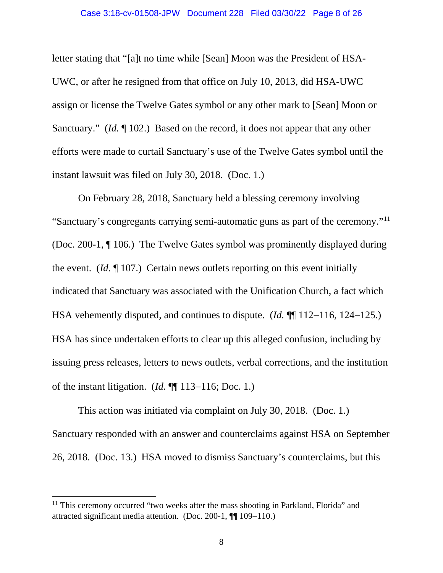### Case 3:18-cv-01508-JPW Document 228 Filed 03/30/22 Page 8 of 26

letter stating that "[a]t no time while [Sean] Moon was the President of HSA-UWC, or after he resigned from that office on July 10, 2013, did HSA-UWC assign or license the Twelve Gates symbol or any other mark to [Sean] Moon or Sanctuary." (*Id.* ¶ 102.) Based on the record, it does not appear that any other efforts were made to curtail Sanctuary's use of the Twelve Gates symbol until the instant lawsuit was filed on July 30, 2018. (Doc. 1.)

On February 28, 2018, Sanctuary held a blessing ceremony involving "Sanctuary's congregants carrying semi-automatic guns as part of the ceremony."[11](#page-7-0)  (Doc. 200-1, ¶ 106.) The Twelve Gates symbol was prominently displayed during the event. (*Id.* ¶ 107.) Certain news outlets reporting on this event initially indicated that Sanctuary was associated with the Unification Church, a fact which HSA vehemently disputed, and continues to dispute. (*Id.* ¶¶ 112−116, 124−125.) HSA has since undertaken efforts to clear up this alleged confusion, including by issuing press releases, letters to news outlets, verbal corrections, and the institution of the instant litigation. (*Id.* ¶¶ 113−116; Doc. 1.)

This action was initiated via complaint on July 30, 2018. (Doc. 1.) Sanctuary responded with an answer and counterclaims against HSA on September 26, 2018. (Doc. 13.) HSA moved to dismiss Sanctuary's counterclaims, but this

<span id="page-7-0"></span> $11$  This ceremony occurred "two weeks after the mass shooting in Parkland, Florida" and attracted significant media attention. (Doc. 200-1, ¶¶ 109−110.)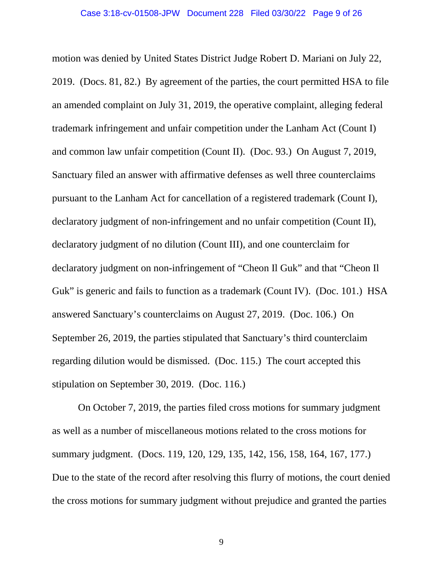motion was denied by United States District Judge Robert D. Mariani on July 22, 2019. (Docs. 81, 82.) By agreement of the parties, the court permitted HSA to file an amended complaint on July 31, 2019, the operative complaint, alleging federal trademark infringement and unfair competition under the Lanham Act (Count I) and common law unfair competition (Count II). (Doc. 93.) On August 7, 2019, Sanctuary filed an answer with affirmative defenses as well three counterclaims pursuant to the Lanham Act for cancellation of a registered trademark (Count I), declaratory judgment of non-infringement and no unfair competition (Count II), declaratory judgment of no dilution (Count III), and one counterclaim for declaratory judgment on non-infringement of "Cheon Il Guk" and that "Cheon Il Guk" is generic and fails to function as a trademark (Count IV). (Doc. 101.) HSA answered Sanctuary's counterclaims on August 27, 2019. (Doc. 106.) On September 26, 2019, the parties stipulated that Sanctuary's third counterclaim regarding dilution would be dismissed. (Doc. 115.) The court accepted this stipulation on September 30, 2019. (Doc. 116.)

On October 7, 2019, the parties filed cross motions for summary judgment as well as a number of miscellaneous motions related to the cross motions for summary judgment. (Docs. 119, 120, 129, 135, 142, 156, 158, 164, 167, 177.) Due to the state of the record after resolving this flurry of motions, the court denied the cross motions for summary judgment without prejudice and granted the parties

9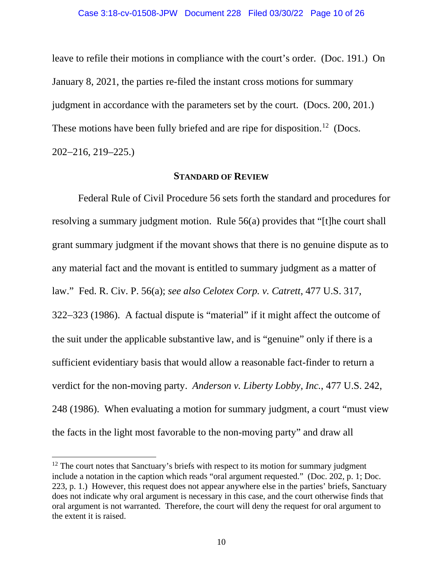leave to refile their motions in compliance with the court's order. (Doc. 191.) On January 8, 2021, the parties re-filed the instant cross motions for summary judgment in accordance with the parameters set by the court. (Docs. 200, 201.) These motions have been fully briefed and are ripe for disposition.<sup>12</sup> (Docs. 202−216, 219–225.)

### **STANDARD OF REVIEW**

Federal Rule of Civil Procedure 56 sets forth the standard and procedures for resolving a summary judgment motion. Rule 56(a) provides that "[t]he court shall grant summary judgment if the movant shows that there is no genuine dispute as to any material fact and the movant is entitled to summary judgment as a matter of law." Fed. R. Civ. P. 56(a); *see also Celotex Corp. v. Catrett*, 477 U.S. 317, 322−323 (1986). A factual dispute is "material" if it might affect the outcome of the suit under the applicable substantive law, and is "genuine" only if there is a sufficient evidentiary basis that would allow a reasonable fact-finder to return a verdict for the non-moving party. *Anderson v. Liberty Lobby, Inc.*, 477 U.S. 242, 248 (1986). When evaluating a motion for summary judgment, a court "must view the facts in the light most favorable to the non-moving party" and draw all

<span id="page-9-0"></span><sup>&</sup>lt;sup>12</sup> The court notes that Sanctuary's briefs with respect to its motion for summary judgment include a notation in the caption which reads "oral argument requested." (Doc. 202, p. 1; Doc. 223, p. 1.) However, this request does not appear anywhere else in the parties' briefs, Sanctuary does not indicate why oral argument is necessary in this case, and the court otherwise finds that oral argument is not warranted. Therefore, the court will deny the request for oral argument to the extent it is raised.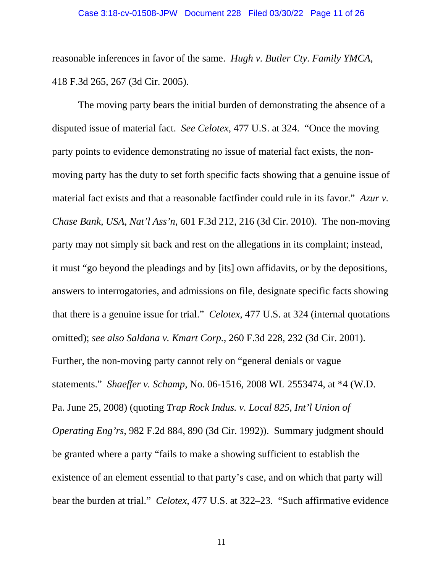reasonable inferences in favor of the same. *Hugh v. Butler Cty. Family YMCA*, 418 F.3d 265, 267 (3d Cir. 2005).

The moving party bears the initial burden of demonstrating the absence of a disputed issue of material fact. *See Celotex*, 477 U.S. at 324. "Once the moving party points to evidence demonstrating no issue of material fact exists, the nonmoving party has the duty to set forth specific facts showing that a genuine issue of material fact exists and that a reasonable factfinder could rule in its favor." *Azur v. Chase Bank, USA, Nat'l Ass'n*, 601 F.3d 212, 216 (3d Cir. 2010). The non-moving party may not simply sit back and rest on the allegations in its complaint; instead, it must "go beyond the pleadings and by [its] own affidavits, or by the depositions, answers to interrogatories, and admissions on file, designate specific facts showing that there is a genuine issue for trial." *Celotex*, 477 U.S. at 324 (internal quotations omitted); *see also Saldana v. Kmart Corp.*, 260 F.3d 228, 232 (3d Cir. 2001). Further, the non-moving party cannot rely on "general denials or vague statements." *Shaeffer v. Schamp*, No. 06-1516, 2008 WL 2553474, at \*4 (W.D. Pa. June 25, 2008) (quoting *Trap Rock Indus. v. Local 825, Int'l Union of Operating Eng'rs*, 982 F.2d 884, 890 (3d Cir. 1992)). Summary judgment should be granted where a party "fails to make a showing sufficient to establish the existence of an element essential to that party's case, and on which that party will bear the burden at trial." *Celotex*, 477 U.S. at 322–23. "Such affirmative evidence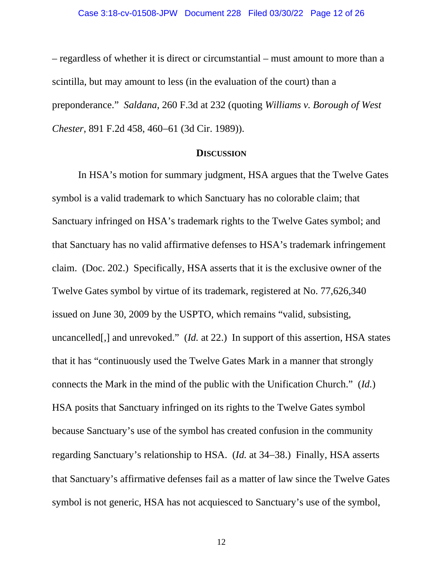– regardless of whether it is direct or circumstantial – must amount to more than a scintilla, but may amount to less (in the evaluation of the court) than a preponderance." *Saldana*, 260 F.3d at 232 (quoting *Williams v. Borough of West Chester*, 891 F.2d 458, 460−61 (3d Cir. 1989)).

### **DISCUSSION**

 In HSA's motion for summary judgment, HSA argues that the Twelve Gates symbol is a valid trademark to which Sanctuary has no colorable claim; that Sanctuary infringed on HSA's trademark rights to the Twelve Gates symbol; and that Sanctuary has no valid affirmative defenses to HSA's trademark infringement claim. (Doc. 202.) Specifically, HSA asserts that it is the exclusive owner of the Twelve Gates symbol by virtue of its trademark, registered at No. 77,626,340 issued on June 30, 2009 by the USPTO, which remains "valid, subsisting, uncancelled[,] and unrevoked." (*Id.* at 22.) In support of this assertion, HSA states that it has "continuously used the Twelve Gates Mark in a manner that strongly connects the Mark in the mind of the public with the Unification Church." (*Id.*) HSA posits that Sanctuary infringed on its rights to the Twelve Gates symbol because Sanctuary's use of the symbol has created confusion in the community regarding Sanctuary's relationship to HSA. (*Id.* at 34−38.) Finally, HSA asserts that Sanctuary's affirmative defenses fail as a matter of law since the Twelve Gates symbol is not generic, HSA has not acquiesced to Sanctuary's use of the symbol,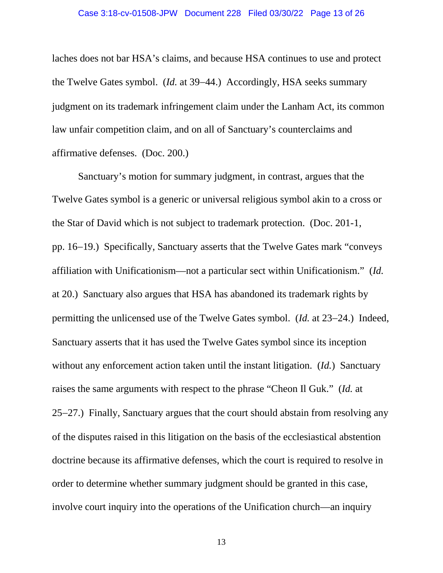laches does not bar HSA's claims, and because HSA continues to use and protect the Twelve Gates symbol. (*Id.* at 39−44.) Accordingly, HSA seeks summary judgment on its trademark infringement claim under the Lanham Act, its common law unfair competition claim, and on all of Sanctuary's counterclaims and affirmative defenses. (Doc. 200.)

Sanctuary's motion for summary judgment, in contrast, argues that the Twelve Gates symbol is a generic or universal religious symbol akin to a cross or the Star of David which is not subject to trademark protection. (Doc. 201-1, pp. 16−19.) Specifically, Sanctuary asserts that the Twelve Gates mark "conveys affiliation with Unificationism—not a particular sect within Unificationism." (*Id.* at 20.) Sanctuary also argues that HSA has abandoned its trademark rights by permitting the unlicensed use of the Twelve Gates symbol. (*Id.* at 23−24.) Indeed, Sanctuary asserts that it has used the Twelve Gates symbol since its inception without any enforcement action taken until the instant litigation. (*Id.*) Sanctuary raises the same arguments with respect to the phrase "Cheon Il Guk." (*Id.* at 25−27.) Finally, Sanctuary argues that the court should abstain from resolving any of the disputes raised in this litigation on the basis of the ecclesiastical abstention doctrine because its affirmative defenses, which the court is required to resolve in order to determine whether summary judgment should be granted in this case, involve court inquiry into the operations of the Unification church—an inquiry

13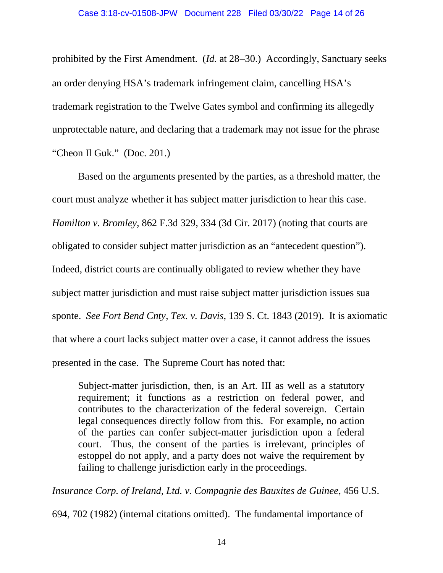prohibited by the First Amendment. (*Id.* at 28−30.) Accordingly, Sanctuary seeks an order denying HSA's trademark infringement claim, cancelling HSA's trademark registration to the Twelve Gates symbol and confirming its allegedly unprotectable nature, and declaring that a trademark may not issue for the phrase "Cheon Il Guk." (Doc. 201.)

Based on the arguments presented by the parties, as a threshold matter, the court must analyze whether it has subject matter jurisdiction to hear this case. *Hamilton v. Bromley*, 862 F.3d 329, 334 (3d Cir. 2017) (noting that courts are obligated to consider subject matter jurisdiction as an "antecedent question"). Indeed, district courts are continually obligated to review whether they have subject matter jurisdiction and must raise subject matter jurisdiction issues sua sponte. *See Fort Bend Cnty, Tex. v. Davis*, 139 S. Ct. 1843 (2019). It is axiomatic that where a court lacks subject matter over a case, it cannot address the issues presented in the case. The Supreme Court has noted that:

Subject-matter jurisdiction, then, is an Art. III as well as a statutory requirement; it functions as a restriction on federal power, and contributes to the characterization of the federal sovereign. Certain legal consequences directly follow from this. For example, no action of the parties can confer subject-matter jurisdiction upon a federal court. Thus, the consent of the parties is irrelevant, principles of estoppel do not apply, and a party does not waive the requirement by failing to challenge jurisdiction early in the proceedings.

*Insurance Corp. of Ireland, Ltd. v. Compagnie des Bauxites de Guinee*, 456 U.S.

694, 702 (1982) (internal citations omitted). The fundamental importance of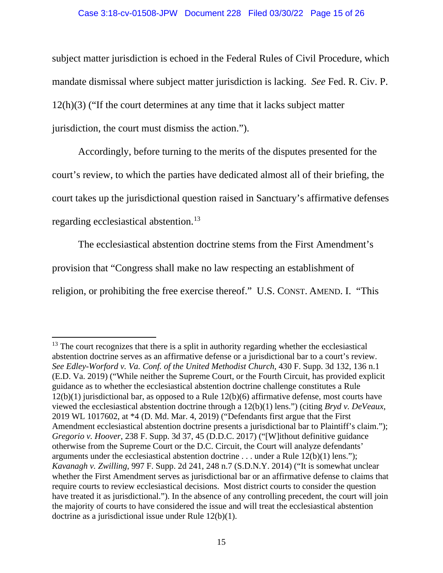#### Case 3:18-cv-01508-JPW Document 228 Filed 03/30/22 Page 15 of 26

subject matter jurisdiction is echoed in the Federal Rules of Civil Procedure, which mandate dismissal where subject matter jurisdiction is lacking. *See* Fed. R. Civ. P. 12(h)(3) ("If the court determines at any time that it lacks subject matter jurisdiction, the court must dismiss the action.").

Accordingly, before turning to the merits of the disputes presented for the court's review, to which the parties have dedicated almost all of their briefing, the court takes up the jurisdictional question raised in Sanctuary's affirmative defenses regarding ecclesiastical abstention.[13](#page-14-0)

The ecclesiastical abstention doctrine stems from the First Amendment's provision that "Congress shall make no law respecting an establishment of religion, or prohibiting the free exercise thereof." U.S. CONST. AMEND. I. "This

<span id="page-14-0"></span> $13$  The court recognizes that there is a split in authority regarding whether the ecclesiastical abstention doctrine serves as an affirmative defense or a jurisdictional bar to a court's review. *See Edley-Worford v. Va. Conf. of the United Methodist Church*, 430 F. Supp. 3d 132, 136 n.1 (E.D. Va. 2019) ("While neither the Supreme Court, or the Fourth Circuit, has provided explicit guidance as to whether the ecclesiastical abstention doctrine challenge constitutes a Rule 12(b)(1) jurisdictional bar, as opposed to a Rule 12(b)(6) affirmative defense, most courts have viewed the ecclesiastical abstention doctrine through a 12(b)(1) lens.") (citing *Bryd v. DeVeaux*, 2019 WL 1017602, at \*4 (D. Md. Mar. 4, 2019) ("Defendants first argue that the First Amendment ecclesiastical abstention doctrine presents a jurisdictional bar to Plaintiff's claim."); *Gregorio v. Hoover*, 238 F. Supp. 3d 37, 45 (D.D.C. 2017) ("[W]ithout definitive guidance otherwise from the Supreme Court or the D.C. Circuit, the Court will analyze defendants' arguments under the ecclesiastical abstention doctrine . . . under a Rule 12(b)(1) lens."); *Kavanagh v. Zwilling*, 997 F. Supp. 2d 241, 248 n.7 (S.D.N.Y. 2014) ("It is somewhat unclear whether the First Amendment serves as jurisdictional bar or an affirmative defense to claims that require courts to review ecclesiastical decisions. Most district courts to consider the question have treated it as jurisdictional."). In the absence of any controlling precedent, the court will join the majority of courts to have considered the issue and will treat the ecclesiastical abstention doctrine as a jurisdictional issue under Rule 12(b)(1).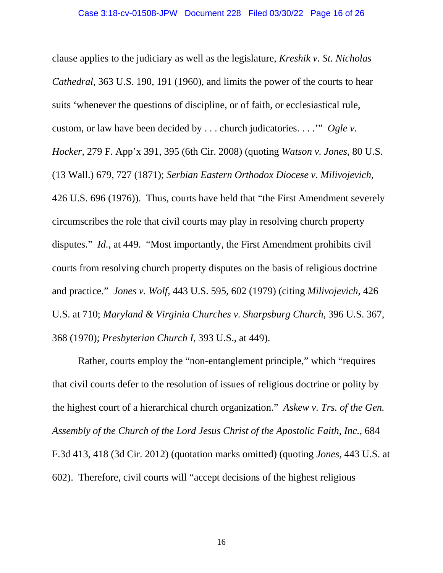clause applies to the judiciary as well as the legislature, *Kreshik v. St. Nicholas Cathedral*, 363 U.S. 190, 191 (1960), and limits the power of the courts to hear suits 'whenever the questions of discipline, or of faith, or ecclesiastical rule, custom, or law have been decided by . . . church judicatories. . . .'" *Ogle v. Hocker*, 279 F. App'x 391, 395 (6th Cir. 2008) (quoting *Watson v. Jones*, 80 U.S. (13 Wall.) 679, 727 (1871); *Serbian Eastern Orthodox Diocese v. Milivojevich*, 426 U.S. 696 (1976)). Thus, courts have held that "the First Amendment severely circumscribes the role that civil courts may play in resolving church property disputes." *Id.*, at 449. "Most importantly, the First Amendment prohibits civil courts from resolving church property disputes on the basis of religious doctrine and practice." *Jones v. Wolf*, 443 U.S. 595, 602 (1979) (citing *Milivojevich*, 426 U.S. at 710; *Maryland & Virginia Churches v. Sharpsburg Church*, 396 U.S. 367, 368 (1970); *Presbyterian Church I*, 393 U.S., at 449).

Rather, courts employ the "non-entanglement principle," which "requires that civil courts defer to the resolution of issues of religious doctrine or polity by the highest court of a hierarchical church organization." *Askew v. Trs. of the Gen. Assembly of the Church of the Lord Jesus Christ of the Apostolic Faith, Inc.*, 684 F.3d 413, 418 (3d Cir. 2012) (quotation marks omitted) (quoting *Jones*, 443 U.S. at 602). Therefore, civil courts will "accept decisions of the highest religious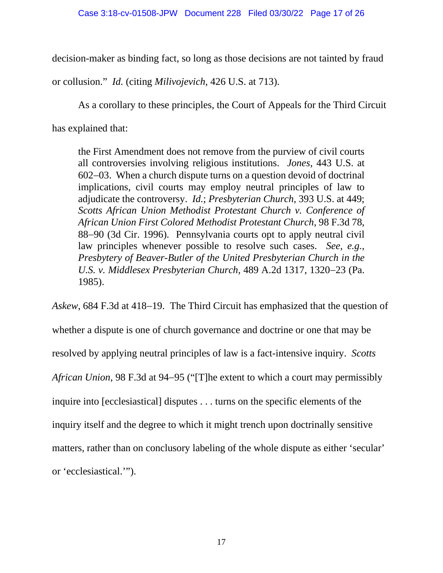decision-maker as binding fact, so long as those decisions are not tainted by fraud

or collusion." *Id.* (citing *Milivojevich*, 426 U.S. at 713).

As a corollary to these principles, the Court of Appeals for the Third Circuit

has explained that:

the First Amendment does not remove from the purview of civil courts all controversies involving religious institutions. *Jones*, 443 U.S. at 602−03. When a church dispute turns on a question devoid of doctrinal implications, civil courts may employ neutral principles of law to adjudicate the controversy. *Id.*; *Presbyterian Church*, 393 U.S. at 449; *Scotts African Union Methodist Protestant Church v. Conference of African Union First Colored Methodist Protestant Church*, 98 F.3d 78, 88−90 (3d Cir. 1996). Pennsylvania courts opt to apply neutral civil law principles whenever possible to resolve such cases. *See, e.g.*, *Presbytery of Beaver-Butler of the United Presbyterian Church in the U.S. v. Middlesex Presbyterian Church*, 489 A.2d 1317, 1320−23 (Pa. 1985).

*Askew*, 684 F.3d at 418−19. The Third Circuit has emphasized that the question of whether a dispute is one of church governance and doctrine or one that may be resolved by applying neutral principles of law is a fact-intensive inquiry. *Scotts African Union*, 98 F.3d at 94−95 ("[T]he extent to which a court may permissibly inquire into [ecclesiastical] disputes . . . turns on the specific elements of the inquiry itself and the degree to which it might trench upon doctrinally sensitive matters, rather than on conclusory labeling of the whole dispute as either 'secular' or 'ecclesiastical.'").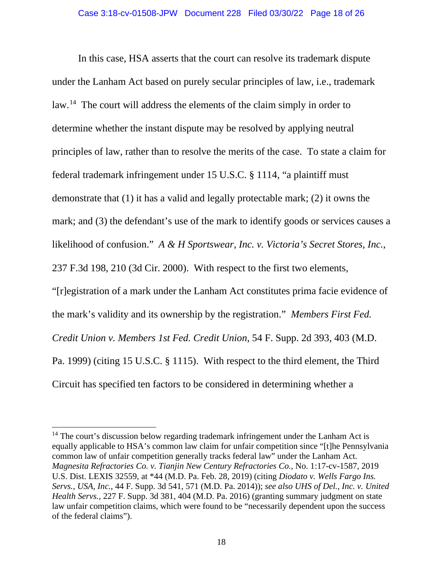In this case, HSA asserts that the court can resolve its trademark dispute under the Lanham Act based on purely secular principles of law, i.e., trademark law.<sup>[14](#page-17-0)</sup> The court will address the elements of the claim simply in order to determine whether the instant dispute may be resolved by applying neutral principles of law, rather than to resolve the merits of the case. To state a claim for federal trademark infringement under 15 U.S.C. § 1114, "a plaintiff must demonstrate that (1) it has a valid and legally protectable mark; (2) it owns the mark; and (3) the defendant's use of the mark to identify goods or services causes a likelihood of confusion." *A & H Sportswear, Inc. v. Victoria's Secret Stores, Inc.*, 237 F.3d 198, 210 (3d Cir. 2000). With respect to the first two elements, "[r]egistration of a mark under the Lanham Act constitutes prima facie evidence of the mark's validity and its ownership by the registration." *Members First Fed. Credit Union v. Members 1st Fed. Credit Union*, 54 F. Supp. 2d 393, 403 (M.D. Pa. 1999) (citing 15 U.S.C. § 1115). With respect to the third element, the Third Circuit has specified ten factors to be considered in determining whether a

<span id="page-17-0"></span> $14$  The court's discussion below regarding trademark infringement under the Lanham Act is equally applicable to HSA's common law claim for unfair competition since "[t]he Pennsylvania common law of unfair competition generally tracks federal law" under the Lanham Act. *Magnesita Refractories Co. v. Tianjin New Century Refractories Co.*, No. 1:17-cv-1587, 2019 U.S. Dist. LEXIS 32559, at \*44 (M.D. Pa. Feb. 28, 2019) (citing *Diodato v. Wells Fargo Ins. Servs., USA, Inc.*, 44 F. Supp. 3d 541, 571 (M.D. Pa. 2014)); *see also UHS of Del., Inc. v. United Health Servs.*, 227 F. Supp. 3d 381, 404 (M.D. Pa. 2016) (granting summary judgment on state law unfair competition claims, which were found to be "necessarily dependent upon the success of the federal claims").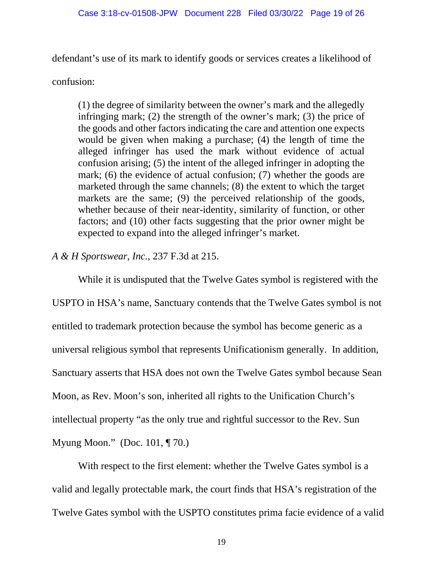defendant's use of its mark to identify goods or services creates a likelihood of

confusion:

(1) the degree of similarity between the owner's mark and the allegedly infringing mark; (2) the strength of the owner's mark; (3) the price of the goods and other factors indicating the care and attention one expects would be given when making a purchase; (4) the length of time the alleged infringer has used the mark without evidence of actual confusion arising; (5) the intent of the alleged infringer in adopting the mark; (6) the evidence of actual confusion; (7) whether the goods are marketed through the same channels; (8) the extent to which the target markets are the same; (9) the perceived relationship of the goods, whether because of their near-identity, similarity of function, or other factors; and (10) other facts suggesting that the prior owner might be expected to expand into the alleged infringer's market.

*A & H Sportswear, Inc.*, 237 F.3d at 215.

While it is undisputed that the Twelve Gates symbol is registered with the USPTO in HSA's name, Sanctuary contends that the Twelve Gates symbol is not entitled to trademark protection because the symbol has become generic as a universal religious symbol that represents Unificationism generally. In addition, Sanctuary asserts that HSA does not own the Twelve Gates symbol because Sean Moon, as Rev. Moon's son, inherited all rights to the Unification Church's intellectual property "as the only true and rightful successor to the Rev. Sun Myung Moon." (Doc. 101, ¶ 70.)

With respect to the first element: whether the Twelve Gates symbol is a valid and legally protectable mark, the court finds that HSA's registration of the Twelve Gates symbol with the USPTO constitutes prima facie evidence of a valid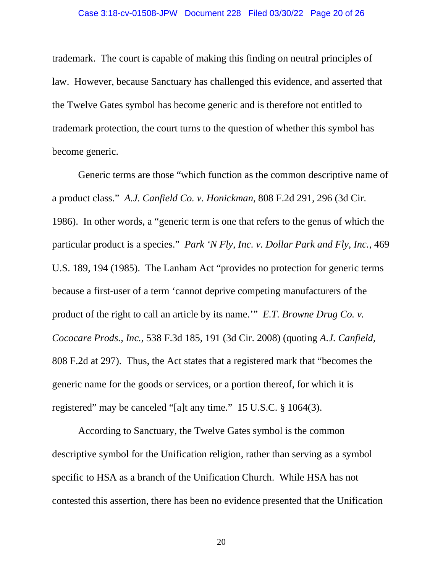trademark. The court is capable of making this finding on neutral principles of law. However, because Sanctuary has challenged this evidence, and asserted that the Twelve Gates symbol has become generic and is therefore not entitled to trademark protection, the court turns to the question of whether this symbol has become generic.

Generic terms are those "which function as the common descriptive name of a product class." *A.J. Canfield Co. v. Honickman*, 808 F.2d 291, 296 (3d Cir. 1986). In other words, a "generic term is one that refers to the genus of which the particular product is a species." *Park 'N Fly, Inc. v. Dollar Park and Fly, Inc.*, 469 U.S. 189, 194 (1985). The Lanham Act "provides no protection for generic terms because a first-user of a term 'cannot deprive competing manufacturers of the product of the right to call an article by its name.'" *E.T. Browne Drug Co. v. Cococare Prods., Inc.*, 538 F.3d 185, 191 (3d Cir. 2008) (quoting *A.J. Canfield*, 808 F.2d at 297). Thus, the Act states that a registered mark that "becomes the generic name for the goods or services, or a portion thereof, for which it is registered" may be canceled "[a]t any time." 15 U.S.C. § 1064(3).

According to Sanctuary, the Twelve Gates symbol is the common descriptive symbol for the Unification religion, rather than serving as a symbol specific to HSA as a branch of the Unification Church. While HSA has not contested this assertion, there has been no evidence presented that the Unification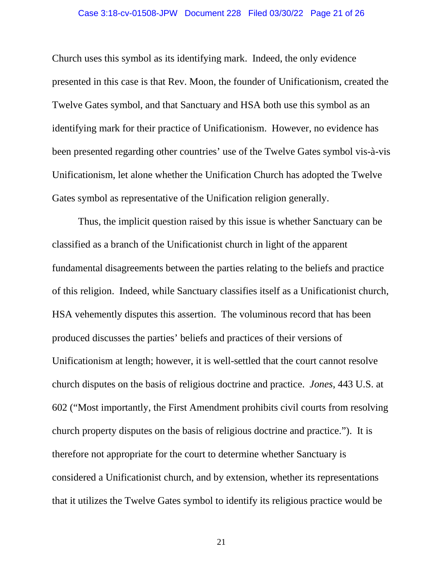### Case 3:18-cv-01508-JPW Document 228 Filed 03/30/22 Page 21 of 26

Church uses this symbol as its identifying mark. Indeed, the only evidence presented in this case is that Rev. Moon, the founder of Unificationism, created the Twelve Gates symbol, and that Sanctuary and HSA both use this symbol as an identifying mark for their practice of Unificationism. However, no evidence has been presented regarding other countries' use of the Twelve Gates symbol vis-à-vis Unificationism, let alone whether the Unification Church has adopted the Twelve Gates symbol as representative of the Unification religion generally.

Thus, the implicit question raised by this issue is whether Sanctuary can be classified as a branch of the Unificationist church in light of the apparent fundamental disagreements between the parties relating to the beliefs and practice of this religion. Indeed, while Sanctuary classifies itself as a Unificationist church, HSA vehemently disputes this assertion. The voluminous record that has been produced discusses the parties' beliefs and practices of their versions of Unificationism at length; however, it is well-settled that the court cannot resolve church disputes on the basis of religious doctrine and practice. *Jones*, 443 U.S. at 602 ("Most importantly, the First Amendment prohibits civil courts from resolving church property disputes on the basis of religious doctrine and practice."). It is therefore not appropriate for the court to determine whether Sanctuary is considered a Unificationist church, and by extension, whether its representations that it utilizes the Twelve Gates symbol to identify its religious practice would be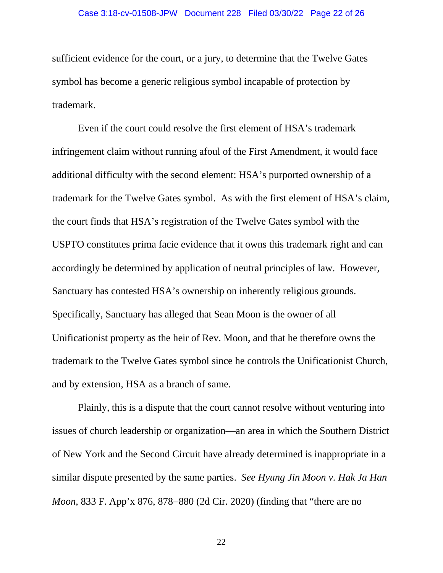sufficient evidence for the court, or a jury, to determine that the Twelve Gates symbol has become a generic religious symbol incapable of protection by trademark.

Even if the court could resolve the first element of HSA's trademark infringement claim without running afoul of the First Amendment, it would face additional difficulty with the second element: HSA's purported ownership of a trademark for the Twelve Gates symbol. As with the first element of HSA's claim, the court finds that HSA's registration of the Twelve Gates symbol with the USPTO constitutes prima facie evidence that it owns this trademark right and can accordingly be determined by application of neutral principles of law. However, Sanctuary has contested HSA's ownership on inherently religious grounds. Specifically, Sanctuary has alleged that Sean Moon is the owner of all Unificationist property as the heir of Rev. Moon, and that he therefore owns the trademark to the Twelve Gates symbol since he controls the Unificationist Church, and by extension, HSA as a branch of same.

Plainly, this is a dispute that the court cannot resolve without venturing into issues of church leadership or organization—an area in which the Southern District of New York and the Second Circuit have already determined is inappropriate in a similar dispute presented by the same parties. *See Hyung Jin Moon v. Hak Ja Han Moon*, 833 F. App'x 876, 878–880 (2d Cir. 2020) (finding that "there are no

22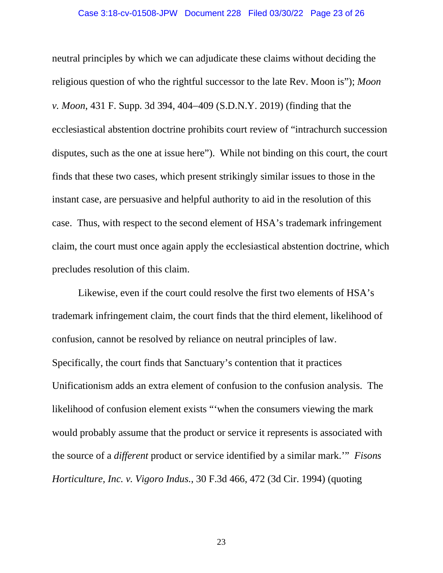neutral principles by which we can adjudicate these claims without deciding the religious question of who the rightful successor to the late Rev. Moon is"); *Moon v. Moon*, 431 F. Supp. 3d 394, 404−409 (S.D.N.Y. 2019) (finding that the ecclesiastical abstention doctrine prohibits court review of "intrachurch succession disputes, such as the one at issue here"). While not binding on this court, the court finds that these two cases, which present strikingly similar issues to those in the instant case, are persuasive and helpful authority to aid in the resolution of this case. Thus, with respect to the second element of HSA's trademark infringement claim, the court must once again apply the ecclesiastical abstention doctrine, which precludes resolution of this claim.

Likewise, even if the court could resolve the first two elements of HSA's trademark infringement claim, the court finds that the third element, likelihood of confusion, cannot be resolved by reliance on neutral principles of law. Specifically, the court finds that Sanctuary's contention that it practices Unificationism adds an extra element of confusion to the confusion analysis. The likelihood of confusion element exists "'when the consumers viewing the mark would probably assume that the product or service it represents is associated with the source of a *different* product or service identified by a similar mark.'" *Fisons Horticulture, Inc. v. Vigoro Indus.*, 30 F.3d 466, 472 (3d Cir. 1994) (quoting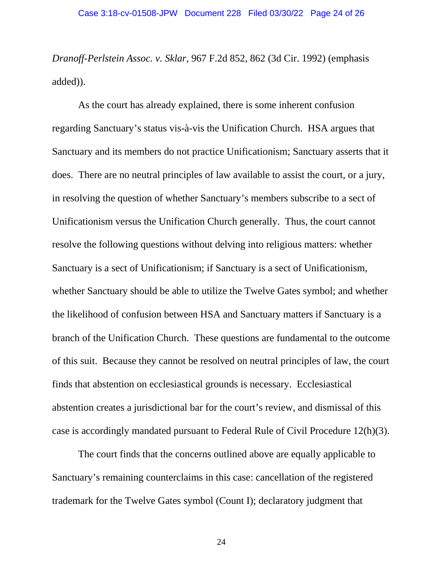*Dranoff-Perlstein Assoc. v. Sklar*, 967 F.2d 852, 862 (3d Cir. 1992) (emphasis added)).

As the court has already explained, there is some inherent confusion regarding Sanctuary's status vis-à-vis the Unification Church. HSA argues that Sanctuary and its members do not practice Unificationism; Sanctuary asserts that it does. There are no neutral principles of law available to assist the court, or a jury, in resolving the question of whether Sanctuary's members subscribe to a sect of Unificationism versus the Unification Church generally. Thus, the court cannot resolve the following questions without delving into religious matters: whether Sanctuary is a sect of Unificationism; if Sanctuary is a sect of Unificationism, whether Sanctuary should be able to utilize the Twelve Gates symbol; and whether the likelihood of confusion between HSA and Sanctuary matters if Sanctuary is a branch of the Unification Church. These questions are fundamental to the outcome of this suit. Because they cannot be resolved on neutral principles of law, the court finds that abstention on ecclesiastical grounds is necessary. Ecclesiastical abstention creates a jurisdictional bar for the court's review, and dismissal of this case is accordingly mandated pursuant to Federal Rule of Civil Procedure 12(h)(3).

The court finds that the concerns outlined above are equally applicable to Sanctuary's remaining counterclaims in this case: cancellation of the registered trademark for the Twelve Gates symbol (Count I); declaratory judgment that

24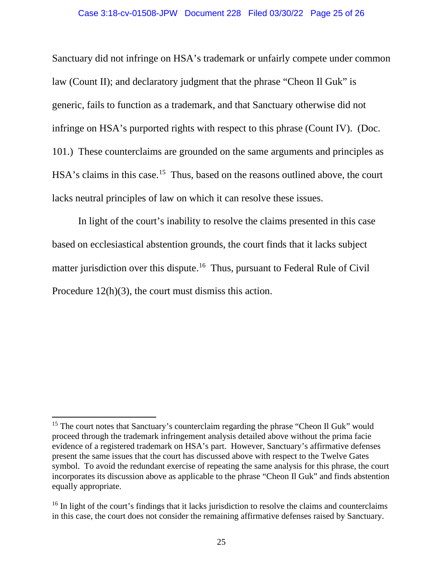Sanctuary did not infringe on HSA's trademark or unfairly compete under common law (Count II); and declaratory judgment that the phrase "Cheon Il Guk" is generic, fails to function as a trademark, and that Sanctuary otherwise did not infringe on HSA's purported rights with respect to this phrase (Count IV). (Doc. 101.) These counterclaims are grounded on the same arguments and principles as HSA's claims in this case.<sup>15</sup> Thus, based on the reasons outlined above, the court lacks neutral principles of law on which it can resolve these issues.

In light of the court's inability to resolve the claims presented in this case based on ecclesiastical abstention grounds, the court finds that it lacks subject matter jurisdiction over this dispute.<sup>[16](#page-24-1)</sup> Thus, pursuant to Federal Rule of Civil Procedure 12(h)(3), the court must dismiss this action.

<span id="page-24-0"></span><sup>&</sup>lt;sup>15</sup> The court notes that Sanctuary's counterclaim regarding the phrase "Cheon Il Guk" would proceed through the trademark infringement analysis detailed above without the prima facie evidence of a registered trademark on HSA's part. However, Sanctuary's affirmative defenses present the same issues that the court has discussed above with respect to the Twelve Gates symbol. To avoid the redundant exercise of repeating the same analysis for this phrase, the court incorporates its discussion above as applicable to the phrase "Cheon Il Guk" and finds abstention equally appropriate.

<span id="page-24-1"></span><sup>&</sup>lt;sup>16</sup> In light of the court's findings that it lacks jurisdiction to resolve the claims and counterclaims in this case, the court does not consider the remaining affirmative defenses raised by Sanctuary.